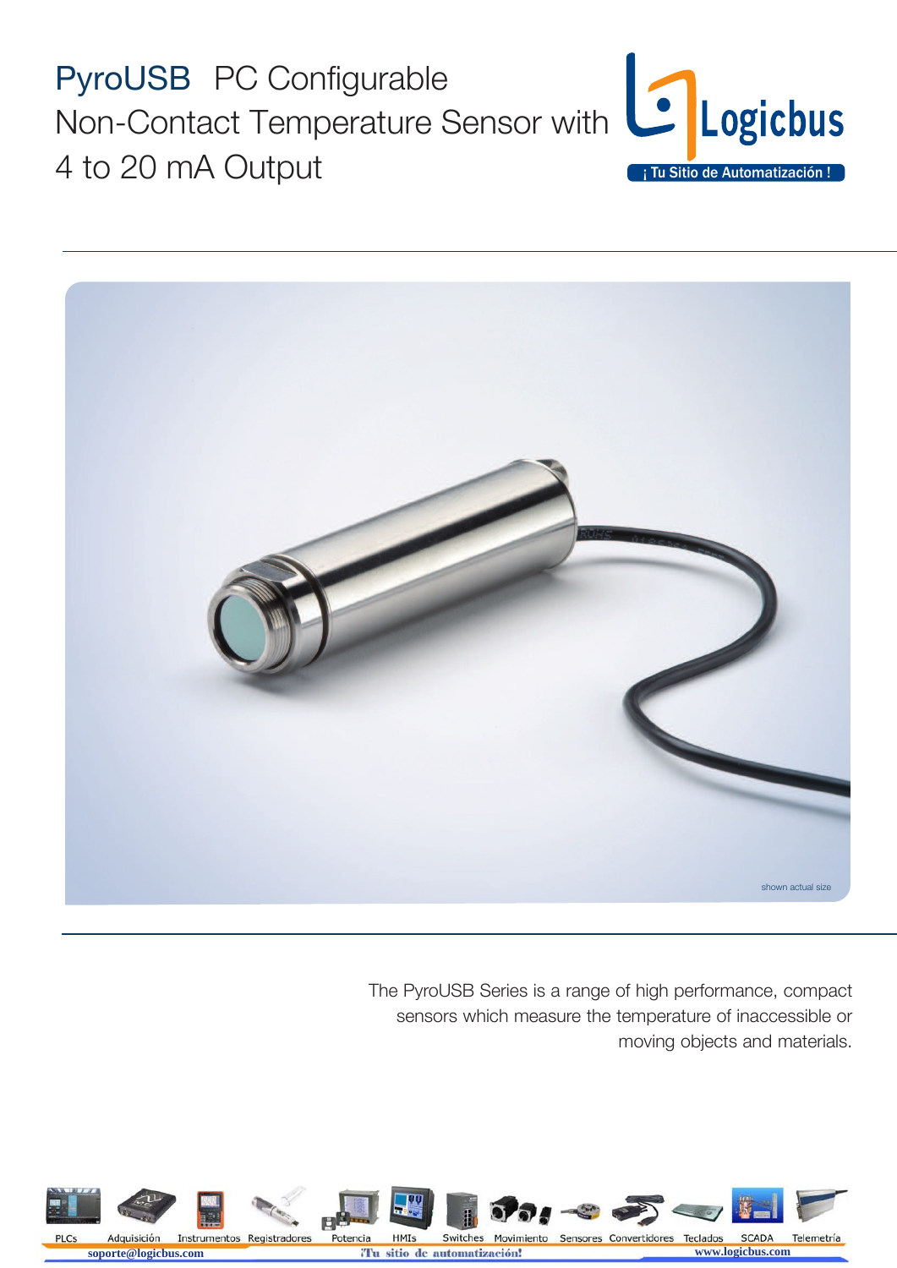



The PyroUSB Series is a range of high performance, compact sensors which measure the temperature of inaccessible or moving objects and materials.

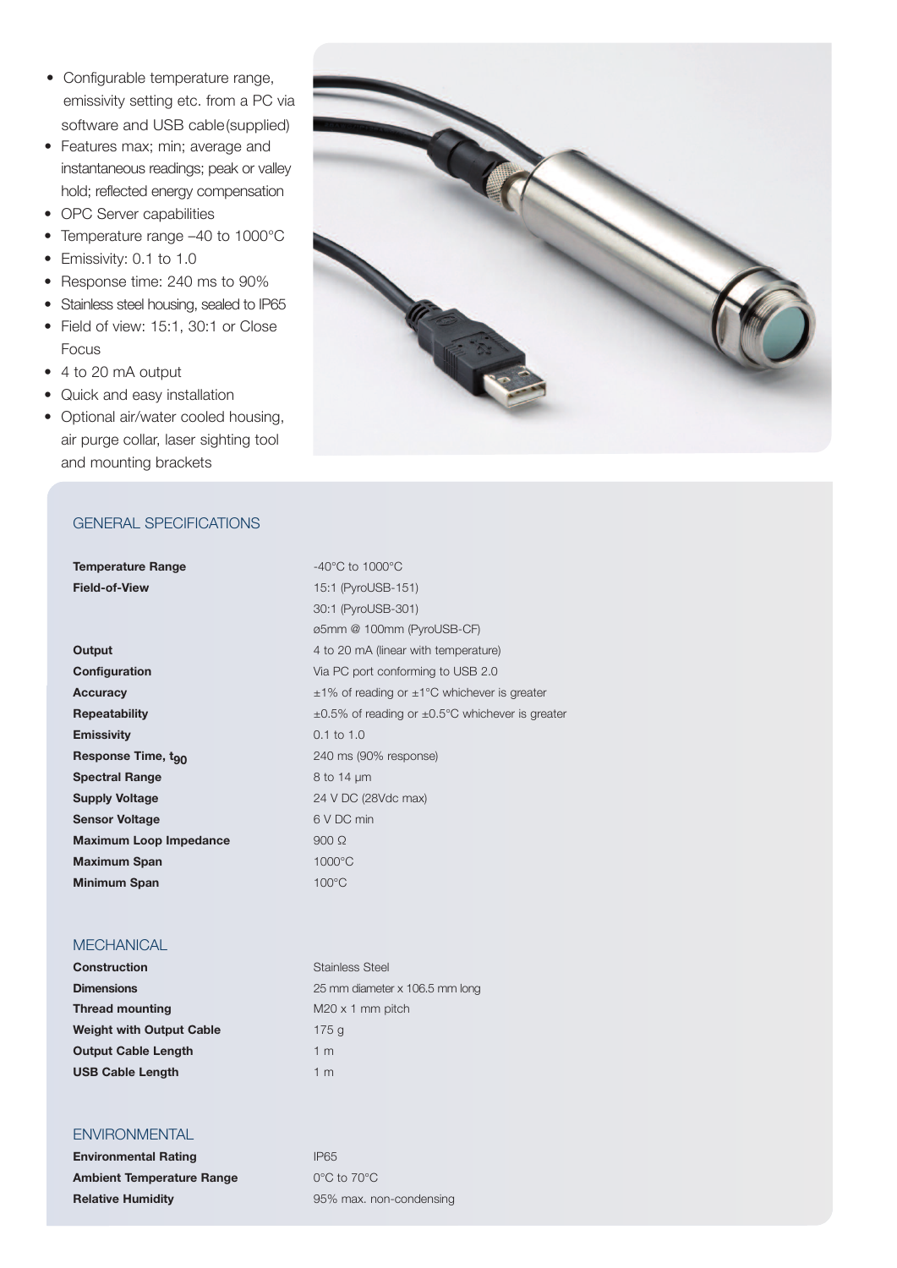- Configurable temperature range, emissivity setting etc. from a PC via software and USB cable(supplied)
- Features max; min; average and instantaneous readings; peak or valley hold; reflected energy compensation
- OPC Server capabilities
- Temperature range –40 to 1000°C
- Emissivity: 0.1 to 1.0
- Response time: 240 ms to 90%
- Stainless steel housing, sealed to IP65
- Field of view: 15:1, 30:1 or Close Focus
- 4 to 20 mA output
- Quick and easy installation
- Optional air/water cooled housing, air purge collar, laser sighting tool and mounting brackets



#### GENERAl SPECIFICATIONS

**Temperature Range**  $-40^{\circ}$ C to  $1000^{\circ}$ C

# **MECHANICAL**

**Construction** Stainless Steel **Thread mounting** M20 x 1 mm pitch **Weight with Output Cable** 175 g **Output Cable Length** 1 m **USB Cable Length** 1 m

## **ENVIRONMENTAL**

**Environmental Rating IP65 Ambient Temperature Range** 0°C to 70°C **Relative Humidity Properties** 85% max. non-condensing

**Field-of-View** 15:1 (PyroUSB-151) 30:1 (PyroUSB-301) ø5mm @ 100mm (PyroUSB-CF) **Output** 4 to 20 mA (linear with temperature) Via PC port conforming to USB 2.0 ±1% of reading or ±1°C whichever is greater ±0.5% of reading or ±0.5°C whichever is greater **Emissivity** 0.1 to 1.0 240 ms (90% response) **Spectral Range** 8 to 14 µm **Supply Voltage** 24 V DC (28Vdc max) **Sensor Voltage** 6 V DC min  $900 \Omega$ **Maximum Span** 1000°C **Minimum Span** 100°C

**Dimensions** 25 mm diameter x 106.5 mm long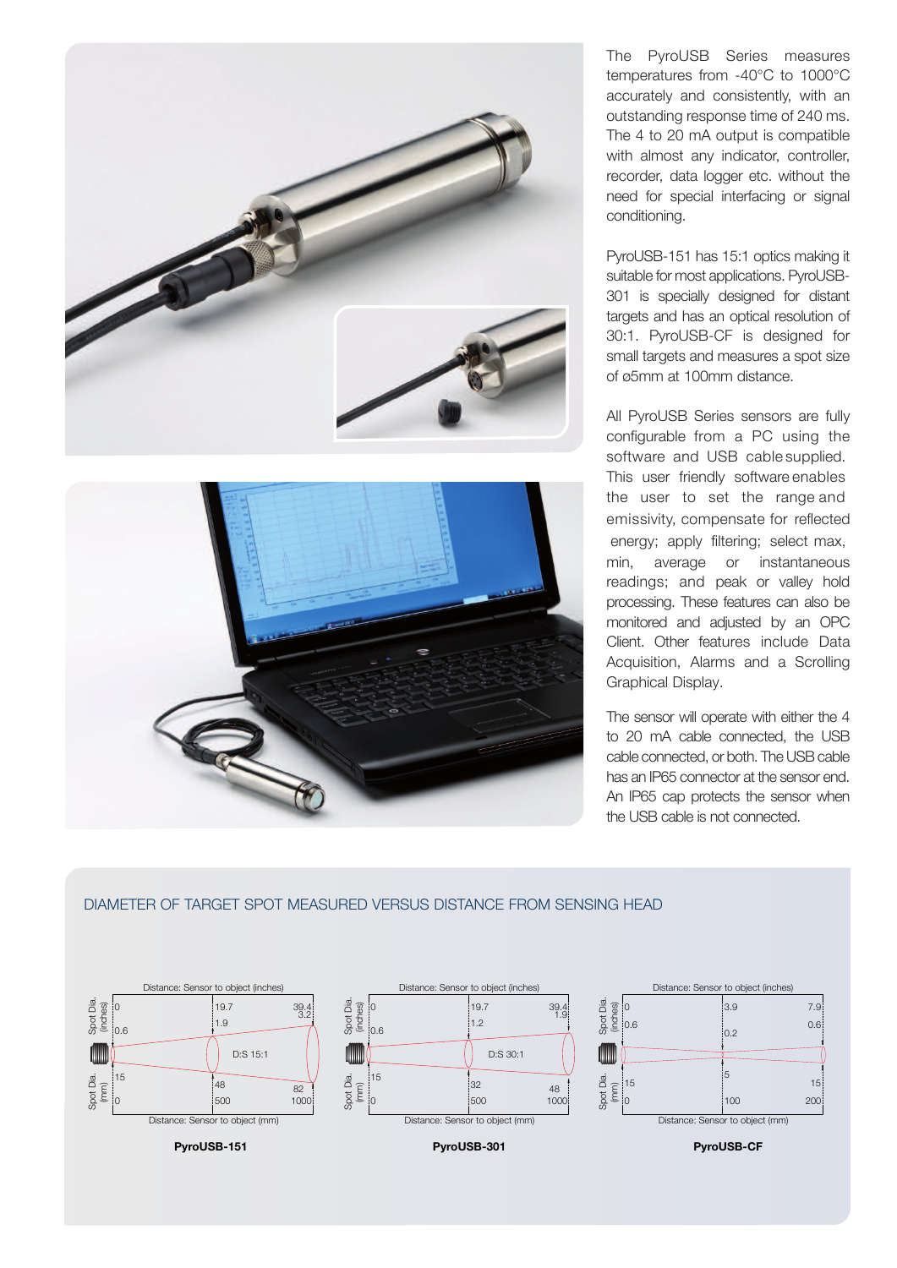



The PyroUSB Series measures temperatures from -40°C to 1000°C accurately and consistently, with an outstanding response time of 240 ms. The 4 to 20 mA output is compatible with almost any indicator, controller, recorder, data logger etc. without the need for special interfacing or signal conditioning.

PyroUSB-151 has 15:1 optics making it suitable for most applications. PyroUSB-301 is specially designed for distant targets and has an optical resolution of 30:1. PyroUSB-CF is designed for small targets and measures a spot size of ø5mm at 100mm distance.

All PyroUSB Series sensors are fully configurable from a PC using the software and USB cable supplied. This user friendly software enables the user to set the range and emissivity, compensate for reflected energy; apply filtering; select max, min, average or instantaneous readings; and peak or valley hold processing. These features can also be monitored and adjusted by an OPC Client. Other features include Data Acquisition, Alarms and a Scrolling Graphical Display.

The sensor will operate with either the 4 to 20 mA cable connected, the USB cable connected, or both. The USB cable has an IP65 connector at the sensor end. An IP65 cap protects the sensor when the USB cable is not connected.

## DIAMETER OF TARGET SPOT MEASURED VERSUS DISTANCE FROM SENSING hEAD